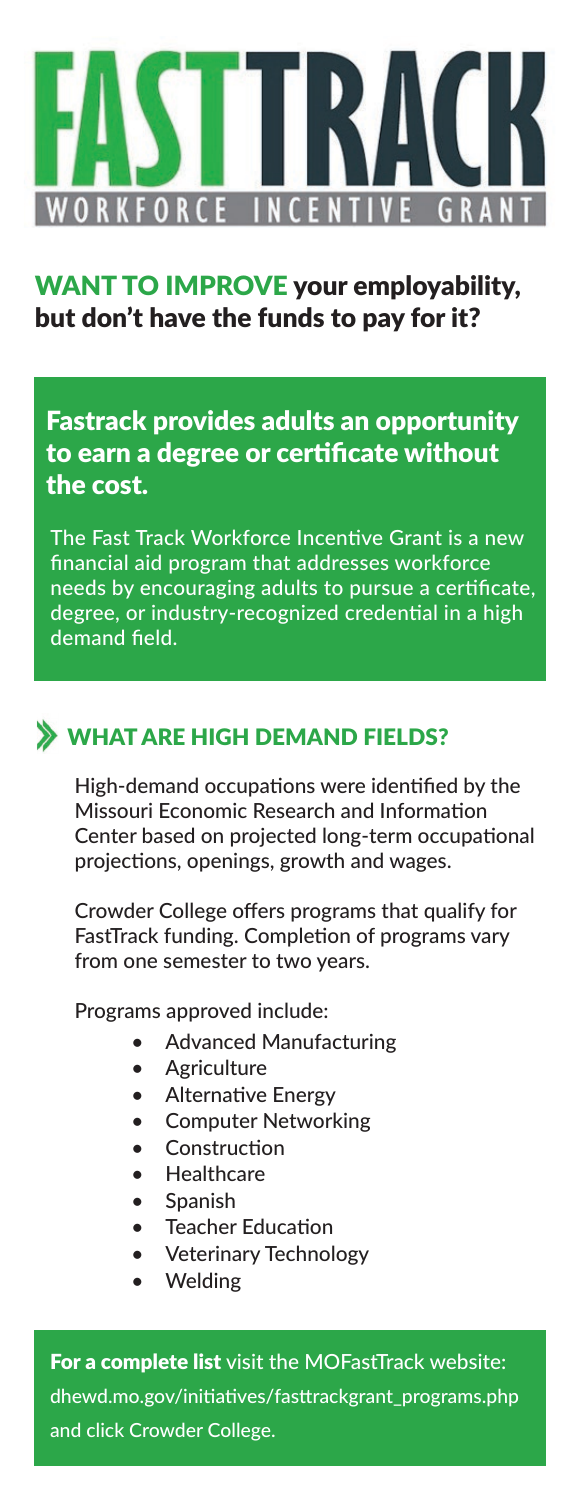

#### WANT TO IMPROVE your employability, but don't have the funds to pay for it?

Fastrack provides adults an opportunity to earn a degree or certificate without the cost.

The Fast Track Workforce Incentive Grant is a new financial aid program that addresses workforce needs by encouraging adults to pursue a certificate, degree, or industry-recognized credential in a high demand field.

#### WHAT ARE HIGH DEMAND FIELDS?

High-demand occupations were identified by the Missouri Economic Research and Information Center based on projected long-term occupational projections, openings, growth and wages.

Crowder College offers programs that qualify for FastTrack funding. Completion of programs vary from one semester to two years.

Programs approved include:

- Advanced Manufacturing
- Agriculture
- **Alternative Energy**
- Computer Networking
- Construction
- **Healthcare**
- Spanish
- **Teacher Education**
- Veterinary Technology
- Welding

For a complete list visit the MOFastTrack website: dhewd.mo.gov/initiatives/fasttrackgrant\_programs.php and click Crowder College.